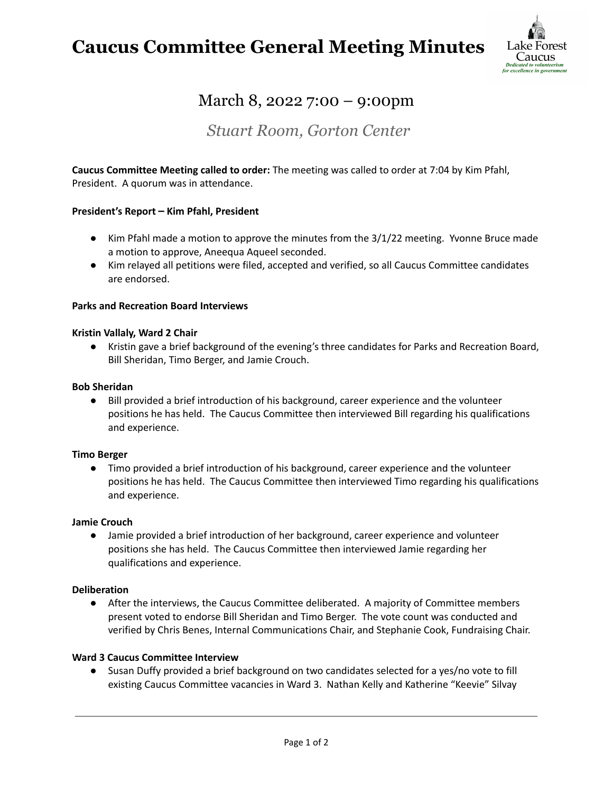## **Caucus Committee General Meeting Minutes**



### March 8, 2022 7:00 – 9:00pm

### *Stuart Room, Gorton Center*

**Caucus Committee Meeting called to order:** The meeting was called to order at 7:04 by Kim Pfahl, President. A quorum was in attendance.

#### **President's Report – Kim Pfahl, President**

- Kim Pfahl made a motion to approve the minutes from the 3/1/22 meeting. Yvonne Bruce made a motion to approve, Aneequa Aqueel seconded.
- Kim relayed all petitions were filed, accepted and verified, so all Caucus Committee candidates are endorsed.

#### **Parks and Recreation Board Interviews**

#### **Kristin Vallaly, Ward 2 Chair**

● Kristin gave a brief background of the evening's three candidates for Parks and Recreation Board, Bill Sheridan, Timo Berger, and Jamie Crouch.

#### **Bob Sheridan**

● Bill provided a brief introduction of his background, career experience and the volunteer positions he has held. The Caucus Committee then interviewed Bill regarding his qualifications and experience.

#### **Timo Berger**

● Timo provided a brief introduction of his background, career experience and the volunteer positions he has held. The Caucus Committee then interviewed Timo regarding his qualifications and experience.

#### **Jamie Crouch**

● Jamie provided a brief introduction of her background, career experience and volunteer positions she has held. The Caucus Committee then interviewed Jamie regarding her qualifications and experience.

#### **Deliberation**

● After the interviews, the Caucus Committee deliberated. A majority of Committee members present voted to endorse Bill Sheridan and Timo Berger. The vote count was conducted and verified by Chris Benes, Internal Communications Chair, and Stephanie Cook, Fundraising Chair.

#### **Ward 3 Caucus Committee Interview**

● Susan Duffy provided a brief background on two candidates selected for a yes/no vote to fill existing Caucus Committee vacancies in Ward 3. Nathan Kelly and Katherine "Keevie" Silvay